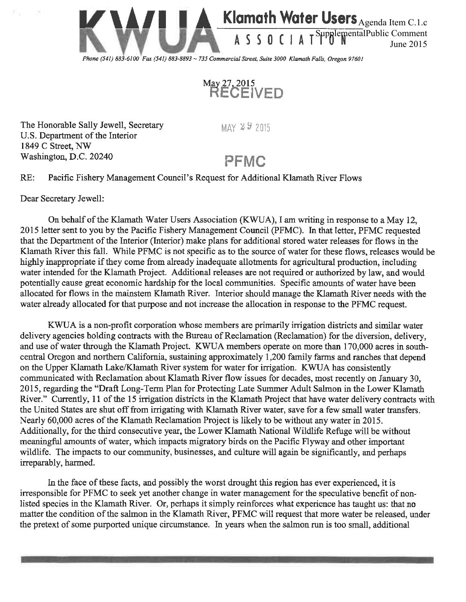



The Honorable Sally Jewell, Secretary U.S. Department of the Interior 1849 C Street, NW Washington, D.C. 20240

 $MAX \, 29 \, 2015$ 

## PFMC

RE: Pacific Fishery Management Council's Request for Additional Klamath River Flows

Dear Secretary Jewell:

On behalf of the Klamath Water Users Association (KWUA), I am writing in response to a May 12, 2015 letter sent to you by the Pacific Fishery Management Council (PFMC). In that letter, PFMC requested that the Department of the Interior (Interior) make plans for additional stored water releases for flows in the Klamath River this fall. While PFMC is not specific as to the source of water for these flows, releases would be highly inappropriate if they come from already inadequate allotments for agricultural production, including water intended for the Klamath Project. Additional releases are not required or authorized by law, and would potentially cause great economic hardship for the local communities. Specific amounts of water have been allocated for flows in the mainstem Klamath River. Interior should manage the Klamath River needs with the water already allocated for that purpose and not increase the allocation in response to the PFMC request.

KWUA is a non-profit corporation whose members are primarily irrigation districts and similar water delivery agencies holding contracts with the Bureau of Reclamation (Reclamation) for the diversion, delivery, and use of water through the Klamath Project. KWUA members operate on more than 170,000 acres in southcentral Oregon and northern California, sustaining approximately 1,200 family farms and ranches that depend on the Upper Klamath Lake/Klamath River system for water for irrigation. KWUA has consistently communicated with Reclamation about Klamath River flow issues for decades, most recently on January 30, 2015, regarding the "Draft Long-Term Plan for Protecting Late Summer Adult Salmon in the Lower Klamath River." Currently, 11 of the 15 irrigation districts in the Klamath Project that have water delivery contracts with the United States are shut off from irrigating with Klamath River water, save for a few small water transfers. Nearly 60,000 acres of the Klamath Reclamation Project is likely to be without any water in 2015. Additionally, for the third consecutive year, the Lower Klamath National Wildlife Refuge will be without meaningful amounts of water, which impacts migratory birds on the Pacific Flyway and other important wildlife. The impacts to our community, businesses, and culture will again be significantly, and perhaps irreparably, harmed.

In the face of these facts, and possibly the worst drought this region has ever experienced, it is irresponsible for PFMC to seek yet another change in water management for the speculative benefit of nonlisted species in the Klamath River. Or, perhaps it simply reinforces what experience has taught us: that no matter the condition of the salmon in the Klamath River, PFMC will request that more water be released, under the pretext of some purported unique circumstance. In years when the salmon run is too small, additional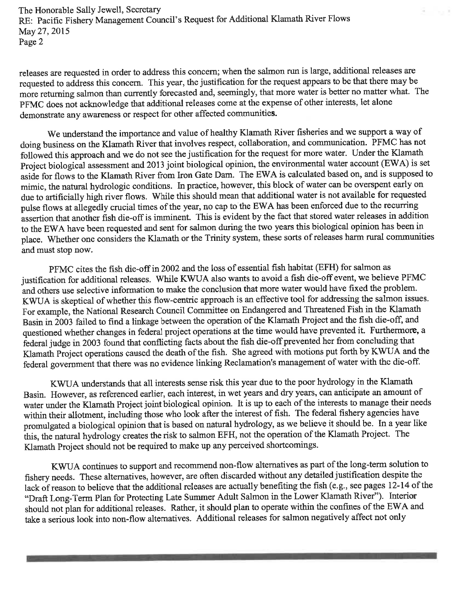The Honorable Sally Jewell, Secretary RE: Pacific Fishery Management Council's Request for Additional Klamath River Flows May 27, 2015 Page 2

releases are requested in order to address this concern; when the salmon run is large, additional releases are requested to address this concern. This year, the justification for the request appears to be that there may be more returning salmon than currently forecasted and, seemingly, that more water is better no matter what. The PFMC does not acknowledge that additional releases come at the expense of other interests, let alone demonstrate any awareness or respect for other affected communities.

We understand the importance and value of healthy Klamath River fisheries and we support a way of doing business on the Klamath River that involves respect, collaboration, and communication. PFMC has not followed this approach and we do not see the justification for the request for more water. Under the Klamath Project biological assessment and 2013 joint biological opinion, the environmental water account (EWA) is set aside for flows to the Klamath River from Iron Gate Dam. The EWA is calculated based on, and is supposed to mimic, the natural hydrologic conditions. In practice, however, this block of water can be overspent early on due to artificially high river flows. While this should mean that additional water is not available for requested pulse flows at allegedly crucial times of the year, no cap to the EWA has been enforced due to the recurring assertion that another fish die-off is imminent. This is evident by the fact that stored water releases in addition to the EWA have been requested and sent for salmon during the two years this biological opinion has been in place. Whether one considers the Klamath or the Trinity system, these sorts of releases harm rural communities and must stop now.

PFMC cites the fish die-off in 2002 and the loss of essential fish habitat (EFH) for salmon as justification for additional releases. While KWUA also wants to avoid a fish die-off event, we believe PFMC and others use selective information to make the conclusion that more water would have fixed the problem. KWUA is skeptical of whether this flow-centric approach is an effective tool for addressing the salmon issues. For example, the National Research Council Committee on Endangered and Threatened Fish in the Klamath Basin in 2003 failed to find a linkage between the operation of the Klamath Project and the fish die-off, and questioned whether changes in federal project operations at the time would have prevented it. Furthermore, a federal judge in 2003 found that conflicting facts about the fish die-off prevented her from concluding that Klamath Project operations caused the death of the fish. She agreed with motions put forth by KWUA and the federal government that there was no evidence linking Reclamation's management of water with the die-off.

KWUA understands that all interests sense risk this year due to the poor hydrology in the Klamath Basin. However, as referenced earlier, each interest, in wet years and dry years, can anticipate an amount of water under the Klamath Project joint biological opinion. It is up to each of the interests to manage their needs within their allotment, including those who look after the interest of fish. The federal fishery agencies have promulgated a biological opinion that is based on natural hydrology, as we believe it should be. In a year like this, the natural hydrology creates the risk to salmon EFH, not the operation of the Klamath Project. The Klamath Project should not be required to make up any perceived shortcomings.

KWUA continues to support and recommend non-flow alternatives as part of the long-term solution to fishery needs. These alternatives, however, are often discarded without any detailed justification despite the lack of reason to believe that the additional releases are actually benefiting the fish (e.g., see pages 12-14 of the "Draft Long-Term Plan for Protecting Late Summer Adult Salmon in the Lower Klamath River"). Interior should not plan for additional releases. Rather, it should plan to operate within the confines of the EWA and take a serious look into non-flow alternatives. Additional releases for salmon negatively affect not only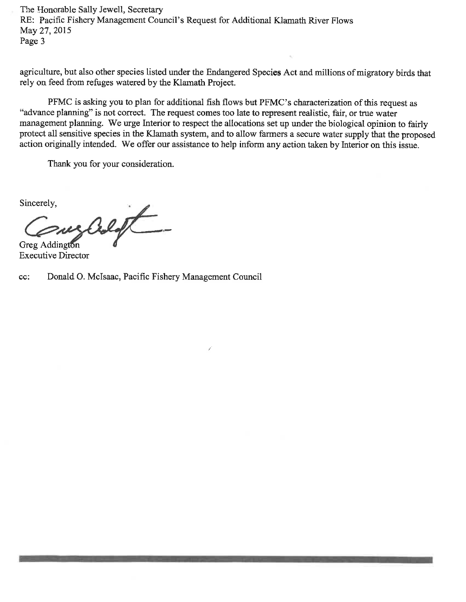The Honorable Sally Jewell, Secretary RE: Pacific Fishery Management Council's Request for Additional Klamath River Flows May 27, 2015 Page 3

agriculture, but also other species listed under the Endangered Species Act and millions of migratory birds that rely on feed from refuges watered by the Klamath Project.

PFMC is asking you to plan for additional fish flows but PFMC's characterization of this request as "advance planning" is not correct. The request comes too late to represent realistic, fair, or true water management planning. We urge Interior to respect the allocations set up under the biological opinion to fairly protect all sensitive species in the Klamath system, and to allow farmers a secure water supply that the proposed action originally intended. We offer our assistance to help inform any action taken by Interior on this issue.

Thank you for your consideration.

Sincerely,

mes Coloft **Greg Addington** 

**Executive Director** 

Donald O. McIsaac, Pacific Fishery Management Council cc: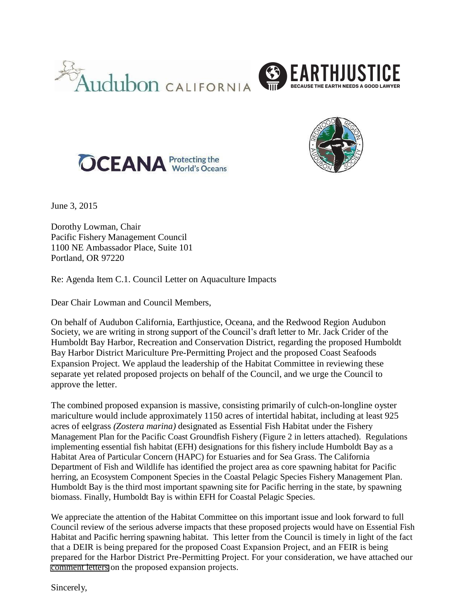







June 3, 2015

Dorothy Lowman, Chair Pacific Fishery Management Council 1100 NE Ambassador Place, Suite 101 Portland, OR 97220

Re: Agenda Item C.1. Council Letter on Aquaculture Impacts

Dear Chair Lowman and Council Members,

On behalf of Audubon California, Earthjustice, Oceana, and the Redwood Region Audubon Society, we are writing in strong support of the Council's draft letter to Mr. Jack Crider of the Humboldt Bay Harbor, Recreation and Conservation District, regarding the proposed Humboldt Bay Harbor District Mariculture Pre-Permitting Project and the proposed Coast Seafoods Expansion Project. We applaud the leadership of the Habitat Committee in reviewing these separate yet related proposed projects on behalf of the Council, and we urge the Council to approve the letter.

The combined proposed expansion is massive, consisting primarily of culch-on-longline oyster mariculture would include approximately 1150 acres of intertidal habitat, including at least 925 acres of eelgrass *(Zostera marina)* designated as Essential Fish Habitat under the Fishery Management Plan for the Pacific Coast Groundfish Fishery (Figure 2 in letters attached). Regulations implementing essential fish habitat (EFH) designations for this fishery include Humboldt Bay as a Habitat Area of Particular Concern (HAPC) for Estuaries and for Sea Grass. The California Department of Fish and Wildlife has identified the project area as core spawning habitat for Pacific herring, an Ecosystem Component Species in the Coastal Pelagic Species Fishery Management Plan. Humboldt Bay is the third most important spawning site for Pacific herring in the state, by spawning biomass. Finally, Humboldt Bay is within EFH for Coastal Pelagic Species.

We appreciate the attention of the Habitat Committee on this important issue and look forward to full Council review of the serious adverse impacts that these proposed projects would have on Essential Fish Habitat and Pacific herring spawning habitat. This letter from the Council is timely in light of the fact that a DEIR is being prepared for the proposed Coast Expansion Project, and an FEIR is being prepared for the Harbor District Pre-Permitting Project. For your consideration, we have attached our [comment letters](http://www.pcouncil.org/wp-content/uploads/2015/03/C1c_PubCom_APR2015BB.pdf) on the proposed expansion projects.

Sincerely,